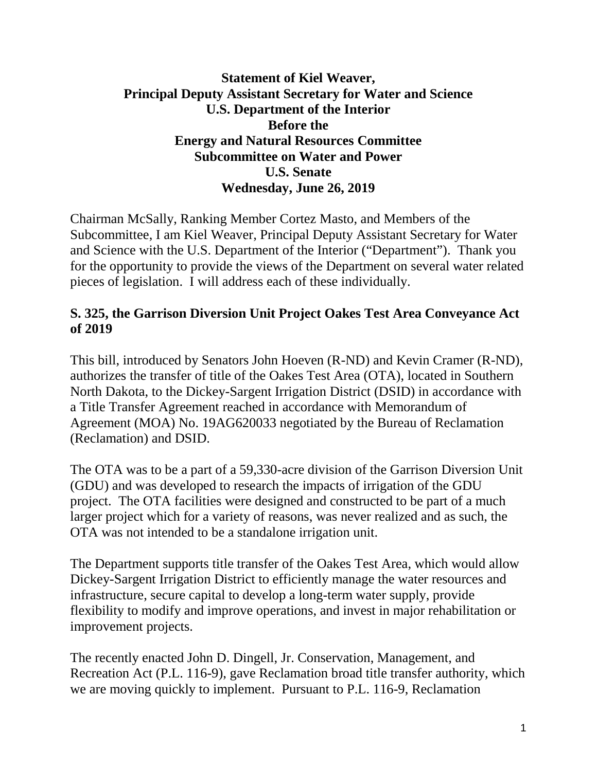#### **Statement of Kiel Weaver, Principal Deputy Assistant Secretary for Water and Science U.S. Department of the Interior Before the Energy and Natural Resources Committee Subcommittee on Water and Power U.S. Senate Wednesday, June 26, 2019**

Chairman McSally, Ranking Member Cortez Masto, and Members of the Subcommittee, I am Kiel Weaver, Principal Deputy Assistant Secretary for Water and Science with the U.S. Department of the Interior ("Department"). Thank you for the opportunity to provide the views of the Department on several water related pieces of legislation. I will address each of these individually.

### **S. 325, the Garrison Diversion Unit Project Oakes Test Area Conveyance Act of 2019**

This bill, introduced by Senators John Hoeven (R-ND) and Kevin Cramer (R-ND), authorizes the transfer of title of the Oakes Test Area (OTA), located in Southern North Dakota, to the Dickey-Sargent Irrigation District (DSID) in accordance with a Title Transfer Agreement reached in accordance with Memorandum of Agreement (MOA) No. 19AG620033 negotiated by the Bureau of Reclamation (Reclamation) and DSID.

The OTA was to be a part of a 59,330-acre division of the Garrison Diversion Unit (GDU) and was developed to research the impacts of irrigation of the GDU project. The OTA facilities were designed and constructed to be part of a much larger project which for a variety of reasons, was never realized and as such, the OTA was not intended to be a standalone irrigation unit.

The Department supports title transfer of the Oakes Test Area, which would allow Dickey-Sargent Irrigation District to efficiently manage the water resources and infrastructure, secure capital to develop a long-term water supply, provide flexibility to modify and improve operations, and invest in major rehabilitation or improvement projects.

The recently enacted John D. Dingell, Jr. Conservation, Management, and Recreation Act (P.L. 116-9), gave Reclamation broad title transfer authority, which we are moving quickly to implement. Pursuant to P.L. 116-9, Reclamation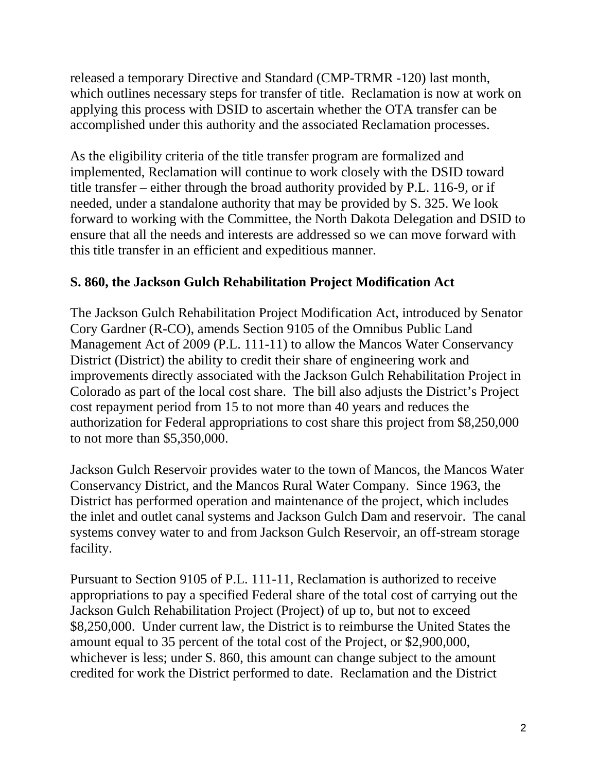released a temporary Directive and Standard (CMP-TRMR -120) last month, which outlines necessary steps for transfer of title. Reclamation is now at work on applying this process with DSID to ascertain whether the OTA transfer can be accomplished under this authority and the associated Reclamation processes.

As the eligibility criteria of the title transfer program are formalized and implemented, Reclamation will continue to work closely with the DSID toward title transfer – either through the broad authority provided by P.L. 116-9, or if needed, under a standalone authority that may be provided by S. 325. We look forward to working with the Committee, the North Dakota Delegation and DSID to ensure that all the needs and interests are addressed so we can move forward with this title transfer in an efficient and expeditious manner.

## **S. 860, the Jackson Gulch Rehabilitation Project Modification Act**

The Jackson Gulch Rehabilitation Project Modification Act, introduced by Senator Cory Gardner (R-CO), amends Section 9105 of the Omnibus Public Land Management Act of 2009 (P.L. 111-11) to allow the Mancos Water Conservancy District (District) the ability to credit their share of engineering work and improvements directly associated with the Jackson Gulch Rehabilitation Project in Colorado as part of the local cost share. The bill also adjusts the District's Project cost repayment period from 15 to not more than 40 years and reduces the authorization for Federal appropriations to cost share this project from \$8,250,000 to not more than \$5,350,000.

Jackson Gulch Reservoir provides water to the town of Mancos, the Mancos Water Conservancy District, and the Mancos Rural Water Company. Since 1963, the District has performed operation and maintenance of the project, which includes the inlet and outlet canal systems and Jackson Gulch Dam and reservoir. The canal systems convey water to and from Jackson Gulch Reservoir, an off-stream storage facility.

Pursuant to Section 9105 of P.L. 111-11, Reclamation is authorized to receive appropriations to pay a specified Federal share of the total cost of carrying out the Jackson Gulch Rehabilitation Project (Project) of up to, but not to exceed \$8,250,000. Under current law, the District is to reimburse the United States the amount equal to 35 percent of the total cost of the Project, or \$2,900,000, whichever is less; under S. 860, this amount can change subject to the amount credited for work the District performed to date. Reclamation and the District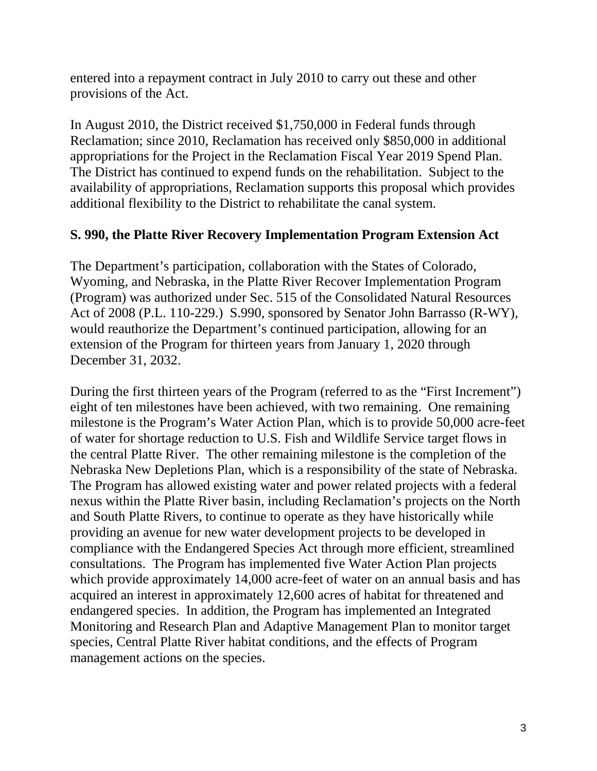entered into a repayment contract in July 2010 to carry out these and other provisions of the Act.

In August 2010, the District received \$1,750,000 in Federal funds through Reclamation; since 2010, Reclamation has received only \$850,000 in additional appropriations for the Project in the Reclamation Fiscal Year 2019 Spend Plan. The District has continued to expend funds on the rehabilitation. Subject to the availability of appropriations, Reclamation supports this proposal which provides additional flexibility to the District to rehabilitate the canal system.

### **S. 990, the Platte River Recovery Implementation Program Extension Act**

The Department's participation, collaboration with the States of Colorado, Wyoming, and Nebraska, in the Platte River Recover Implementation Program (Program) was authorized under Sec. 515 of the Consolidated Natural Resources Act of 2008 (P.L. 110-229.) S.990, sponsored by Senator John Barrasso (R-WY), would reauthorize the Department's continued participation, allowing for an extension of the Program for thirteen years from January 1, 2020 through December 31, 2032.

During the first thirteen years of the Program (referred to as the "First Increment") eight of ten milestones have been achieved, with two remaining. One remaining milestone is the Program's Water Action Plan, which is to provide 50,000 acre-feet of water for shortage reduction to U.S. Fish and Wildlife Service target flows in the central Platte River. The other remaining milestone is the completion of the Nebraska New Depletions Plan, which is a responsibility of the state of Nebraska. The Program has allowed existing water and power related projects with a federal nexus within the Platte River basin, including Reclamation's projects on the North and South Platte Rivers, to continue to operate as they have historically while providing an avenue for new water development projects to be developed in compliance with the Endangered Species Act through more efficient, streamlined consultations. The Program has implemented five Water Action Plan projects which provide approximately 14,000 acre-feet of water on an annual basis and has acquired an interest in approximately 12,600 acres of habitat for threatened and endangered species. In addition, the Program has implemented an Integrated Monitoring and Research Plan and Adaptive Management Plan to monitor target species, Central Platte River habitat conditions, and the effects of Program management actions on the species.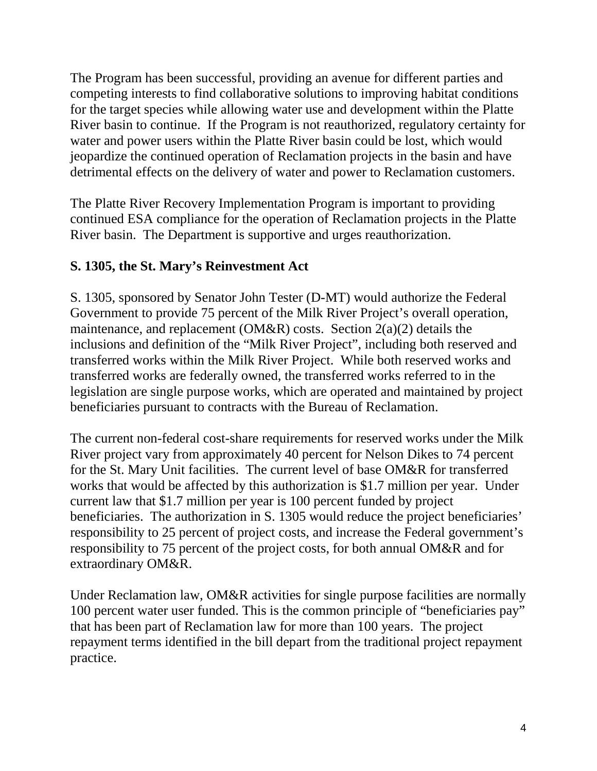The Program has been successful, providing an avenue for different parties and competing interests to find collaborative solutions to improving habitat conditions for the target species while allowing water use and development within the Platte River basin to continue. If the Program is not reauthorized, regulatory certainty for water and power users within the Platte River basin could be lost, which would jeopardize the continued operation of Reclamation projects in the basin and have detrimental effects on the delivery of water and power to Reclamation customers.

The Platte River Recovery Implementation Program is important to providing continued ESA compliance for the operation of Reclamation projects in the Platte River basin. The Department is supportive and urges reauthorization.

## **S. 1305, the St. Mary's Reinvestment Act**

S. 1305, sponsored by Senator John Tester (D-MT) would authorize the Federal Government to provide 75 percent of the Milk River Project's overall operation, maintenance, and replacement ( $OM&R$ ) costs. Section  $2(a)(2)$  details the inclusions and definition of the "Milk River Project", including both reserved and transferred works within the Milk River Project. While both reserved works and transferred works are federally owned, the transferred works referred to in the legislation are single purpose works, which are operated and maintained by project beneficiaries pursuant to contracts with the Bureau of Reclamation.

The current non-federal cost-share requirements for reserved works under the Milk River project vary from approximately 40 percent for Nelson Dikes to 74 percent for the St. Mary Unit facilities. The current level of base OM&R for transferred works that would be affected by this authorization is \$1.7 million per year. Under current law that \$1.7 million per year is 100 percent funded by project beneficiaries. The authorization in S. 1305 would reduce the project beneficiaries' responsibility to 25 percent of project costs, and increase the Federal government's responsibility to 75 percent of the project costs, for both annual OM&R and for extraordinary OM&R.

Under Reclamation law, OM&R activities for single purpose facilities are normally 100 percent water user funded. This is the common principle of "beneficiaries pay" that has been part of Reclamation law for more than 100 years. The project repayment terms identified in the bill depart from the traditional project repayment practice.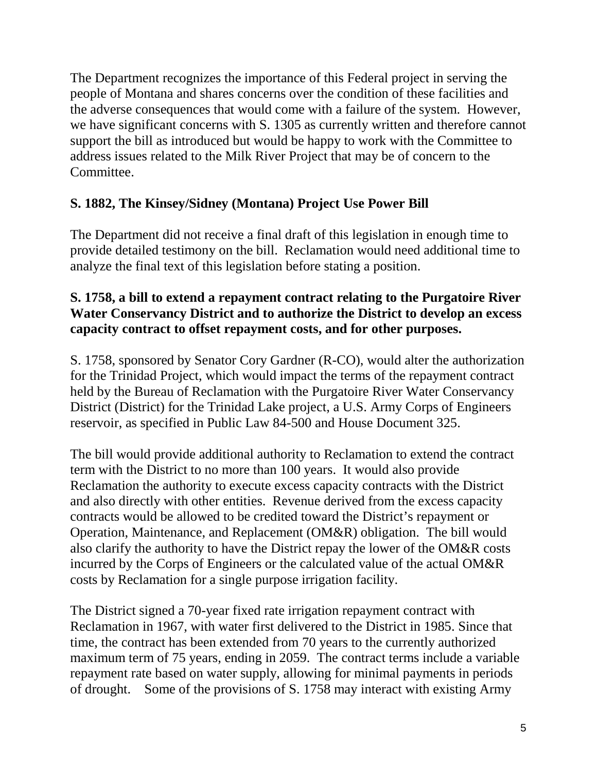The Department recognizes the importance of this Federal project in serving the people of Montana and shares concerns over the condition of these facilities and the adverse consequences that would come with a failure of the system. However, we have significant concerns with S. 1305 as currently written and therefore cannot support the bill as introduced but would be happy to work with the Committee to address issues related to the Milk River Project that may be of concern to the Committee.

## **S. 1882, The Kinsey/Sidney (Montana) Project Use Power Bill**

The Department did not receive a final draft of this legislation in enough time to provide detailed testimony on the bill. Reclamation would need additional time to analyze the final text of this legislation before stating a position.

### **S. 1758, a bill to extend a repayment contract relating to the Purgatoire River Water Conservancy District and to authorize the District to develop an excess capacity contract to offset repayment costs, and for other purposes.**

S. 1758, sponsored by Senator Cory Gardner (R-CO), would alter the authorization for the Trinidad Project, which would impact the terms of the repayment contract held by the Bureau of Reclamation with the Purgatoire River Water Conservancy District (District) for the Trinidad Lake project, a U.S. Army Corps of Engineers reservoir, as specified in Public Law 84-500 and House Document 325.

The bill would provide additional authority to Reclamation to extend the contract term with the District to no more than 100 years. It would also provide Reclamation the authority to execute excess capacity contracts with the District and also directly with other entities. Revenue derived from the excess capacity contracts would be allowed to be credited toward the District's repayment or Operation, Maintenance, and Replacement (OM&R) obligation. The bill would also clarify the authority to have the District repay the lower of the OM&R costs incurred by the Corps of Engineers or the calculated value of the actual OM&R costs by Reclamation for a single purpose irrigation facility.

The District signed a 70-year fixed rate irrigation repayment contract with Reclamation in 1967, with water first delivered to the District in 1985. Since that time, the contract has been extended from 70 years to the currently authorized maximum term of 75 years, ending in 2059. The contract terms include a variable repayment rate based on water supply, allowing for minimal payments in periods of drought. Some of the provisions of S. 1758 may interact with existing Army